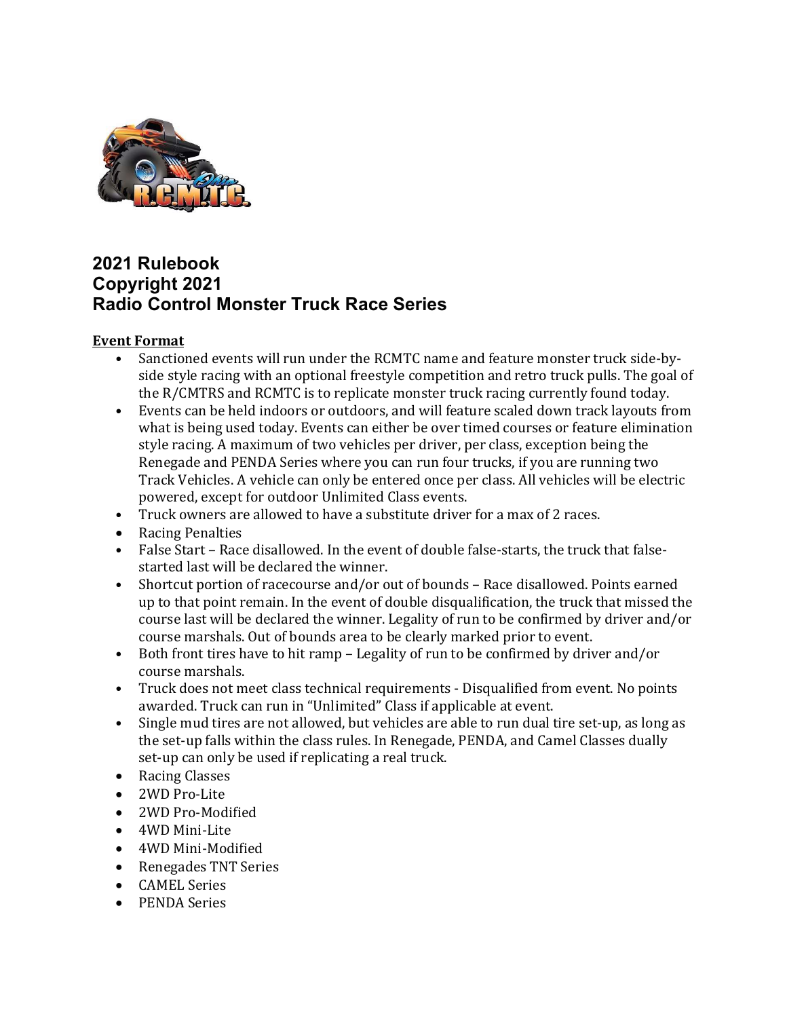

## 2021 Rulebook Copyright 2021 Radio Control Monster Truck Race Series

## Event Format

- Sanctioned events will run under the RCMTC name and feature monster truck side-byside style racing with an optional freestyle competition and retro truck pulls. The goal of the R/CMTRS and RCMTC is to replicate monster truck racing currently found today.
- Events can be held indoors or outdoors, and will feature scaled down track layouts from what is being used today. Events can either be over timed courses or feature elimination style racing. A maximum of two vehicles per driver, per class, exception being the Renegade and PENDA Series where you can run four trucks, if you are running two Track Vehicles. A vehicle can only be entered once per class. All vehicles will be electric powered, except for outdoor Unlimited Class events.
- Truck owners are allowed to have a substitute driver for a max of 2 races.
- Racing Penalties
- False Start Race disallowed. In the event of double false-starts, the truck that falsestarted last will be declared the winner.
- Shortcut portion of racecourse and/or out of bounds Race disallowed. Points earned up to that point remain. In the event of double disqualification, the truck that missed the course last will be declared the winner. Legality of run to be confirmed by driver and/or course marshals. Out of bounds area to be clearly marked prior to event.
- Both front tires have to hit ramp Legality of run to be confirmed by driver and/or course marshals.
- Truck does not meet class technical requirements Disqualified from event. No points awarded. Truck can run in "Unlimited" Class if applicable at event.
- Single mud tires are not allowed, but vehicles are able to run dual tire set-up, as long as the set-up falls within the class rules. In Renegade, PENDA, and Camel Classes dually set-up can only be used if replicating a real truck.
- Racing Classes
- 2WD Pro-Lite
- 2WD Pro-Modified
- 4WD Mini-Lite
- 4WD Mini-Modified
- Renegades TNT Series
- CAMEL Series
- PENDA Series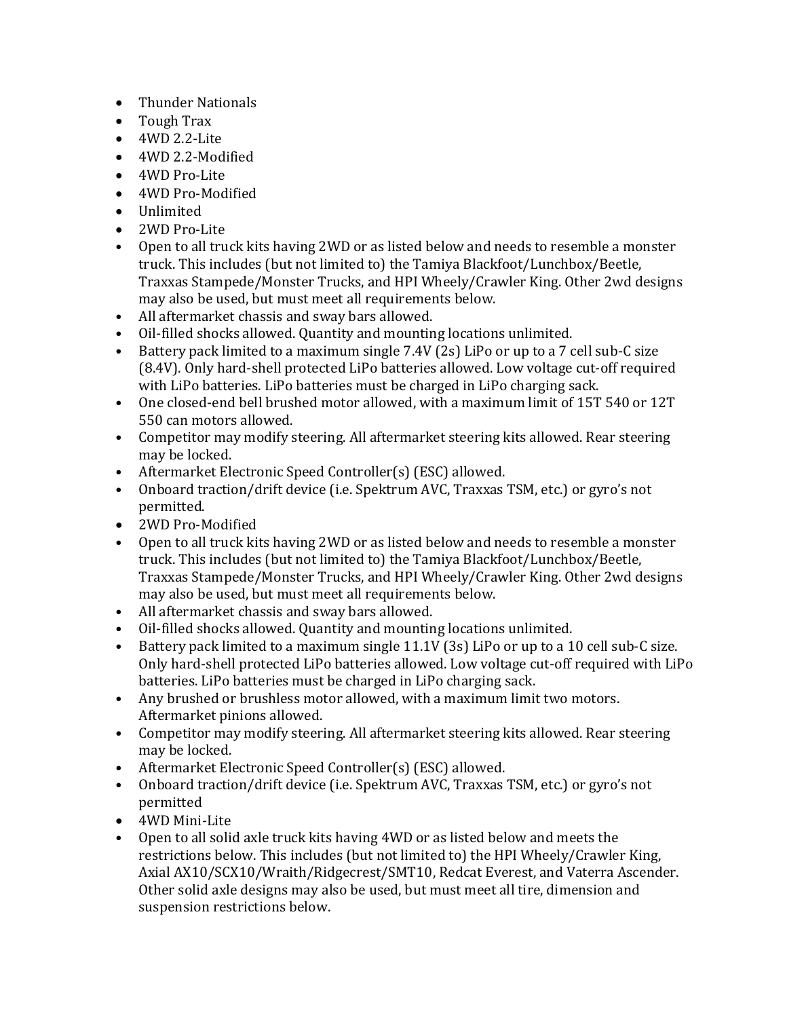- Thunder Nationals
- Tough Trax
- 4WD 2.2-Lite
- 4WD 2.2-Modified
- 4WD Pro-Lite
- 4WD Pro-Modified
- Unlimited
- 2WD Pro-Lite
- Open to all truck kits having 2WD or as listed below and needs to resemble a monster truck. This includes (but not limited to) the Tamiya Blackfoot/Lunchbox/Beetle, Traxxas Stampede/Monster Trucks, and HPI Wheely/Crawler King. Other 2wd designs may also be used, but must meet all requirements below.
- All aftermarket chassis and sway bars allowed.
- Oil-filled shocks allowed. Quantity and mounting locations unlimited.
- Battery pack limited to a maximum single 7.4V (2s) LiPo or up to a 7 cell sub-C size (8.4V). Only hard-shell protected LiPo batteries allowed. Low voltage cut-off required with LiPo batteries. LiPo batteries must be charged in LiPo charging sack.
- One closed-end bell brushed motor allowed, with a maximum limit of 15T 540 or 12T 550 can motors allowed.
- Competitor may modify steering. All aftermarket steering kits allowed. Rear steering may be locked.
- Aftermarket Electronic Speed Controller(s) (ESC) allowed.
- Onboard traction/drift device (i.e. Spektrum AVC, Traxxas TSM, etc.) or gyro's not permitted.
- 2WD Pro-Modified
- Open to all truck kits having 2WD or as listed below and needs to resemble a monster truck. This includes (but not limited to) the Tamiya Blackfoot/Lunchbox/Beetle, Traxxas Stampede/Monster Trucks, and HPI Wheely/Crawler King. Other 2wd designs may also be used, but must meet all requirements below.
- All aftermarket chassis and sway bars allowed.
- Oil-filled shocks allowed. Quantity and mounting locations unlimited.
- Battery pack limited to a maximum single 11.1V (3s) LiPo or up to a 10 cell sub-C size. Only hard-shell protected LiPo batteries allowed. Low voltage cut-off required with LiPo batteries. LiPo batteries must be charged in LiPo charging sack.
- Any brushed or brushless motor allowed, with a maximum limit two motors. Aftermarket pinions allowed.
- Competitor may modify steering. All aftermarket steering kits allowed. Rear steering may be locked.
- Aftermarket Electronic Speed Controller(s) (ESC) allowed.
- Onboard traction/drift device (i.e. Spektrum AVC, Traxxas TSM, etc.) or gyro's not permitted
- 4WD Mini-Lite
- Open to all solid axle truck kits having 4WD or as listed below and meets the restrictions below. This includes (but not limited to) the HPI Wheely/Crawler King, Axial AX10/SCX10/Wraith/Ridgecrest/SMT10, Redcat Everest, and Vaterra Ascender. Other solid axle designs may also be used, but must meet all tire, dimension and suspension restrictions below.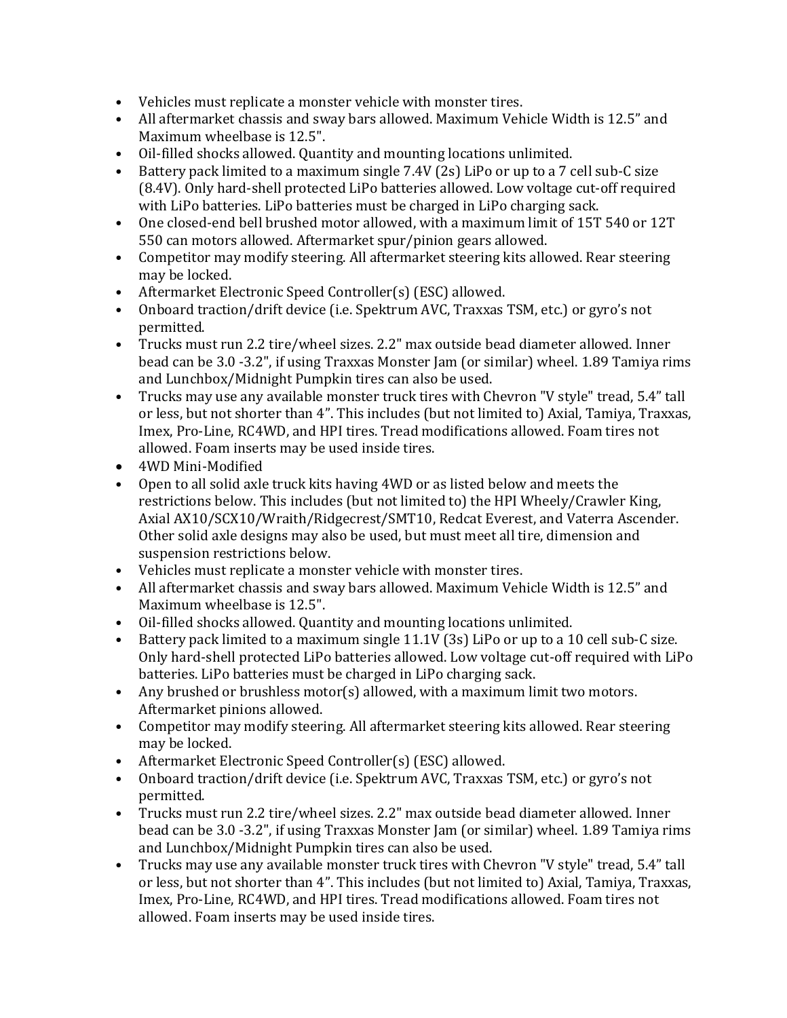- Vehicles must replicate a monster vehicle with monster tires.
- All aftermarket chassis and sway bars allowed. Maximum Vehicle Width is 12.5" and Maximum wheelbase is 12.5".
- Oil-filled shocks allowed. Quantity and mounting locations unlimited.
- Battery pack limited to a maximum single 7.4V (2s) LiPo or up to a 7 cell sub-C size (8.4V). Only hard-shell protected LiPo batteries allowed. Low voltage cut-off required with LiPo batteries. LiPo batteries must be charged in LiPo charging sack.
- One closed-end bell brushed motor allowed, with a maximum limit of 15T 540 or 12T 550 can motors allowed. Aftermarket spur/pinion gears allowed.
- Competitor may modify steering. All aftermarket steering kits allowed. Rear steering may be locked.
- Aftermarket Electronic Speed Controller(s) (ESC) allowed.
- Onboard traction/drift device (i.e. Spektrum AVC, Traxxas TSM, etc.) or gyro's not permitted.
- Trucks must run 2.2 tire/wheel sizes. 2.2" max outside bead diameter allowed. Inner bead can be 3.0 -3.2", if using Traxxas Monster Jam (or similar) wheel. 1.89 Tamiya rims and Lunchbox/Midnight Pumpkin tires can also be used.
- Trucks may use any available monster truck tires with Chevron "V style" tread, 5.4" tall or less, but not shorter than 4". This includes (but not limited to) Axial, Tamiya, Traxxas, Imex, Pro-Line, RC4WD, and HPI tires. Tread modifications allowed. Foam tires not allowed. Foam inserts may be used inside tires.
- 4WD Mini-Modified
- Open to all solid axle truck kits having 4WD or as listed below and meets the restrictions below. This includes (but not limited to) the HPI Wheely/Crawler King, Axial AX10/SCX10/Wraith/Ridgecrest/SMT10, Redcat Everest, and Vaterra Ascender. Other solid axle designs may also be used, but must meet all tire, dimension and suspension restrictions below.
- Vehicles must replicate a monster vehicle with monster tires.
- All aftermarket chassis and sway bars allowed. Maximum Vehicle Width is 12.5" and Maximum wheelbase is 12.5".
- Oil-filled shocks allowed. Quantity and mounting locations unlimited.
- Battery pack limited to a maximum single 11.1V (3s) LiPo or up to a 10 cell sub-C size. Only hard-shell protected LiPo batteries allowed. Low voltage cut-off required with LiPo batteries. LiPo batteries must be charged in LiPo charging sack.
- Any brushed or brushless motor(s) allowed, with a maximum limit two motors. Aftermarket pinions allowed.
- Competitor may modify steering. All aftermarket steering kits allowed. Rear steering may be locked.
- Aftermarket Electronic Speed Controller(s) (ESC) allowed.
- Onboard traction/drift device (i.e. Spektrum AVC, Traxxas TSM, etc.) or gyro's not permitted.
- Trucks must run 2.2 tire/wheel sizes. 2.2" max outside bead diameter allowed. Inner bead can be 3.0 -3.2", if using Traxxas Monster Jam (or similar) wheel. 1.89 Tamiya rims and Lunchbox/Midnight Pumpkin tires can also be used.
- Trucks may use any available monster truck tires with Chevron "V style" tread, 5.4" tall or less, but not shorter than 4". This includes (but not limited to) Axial, Tamiya, Traxxas, Imex, Pro-Line, RC4WD, and HPI tires. Tread modifications allowed. Foam tires not allowed. Foam inserts may be used inside tires.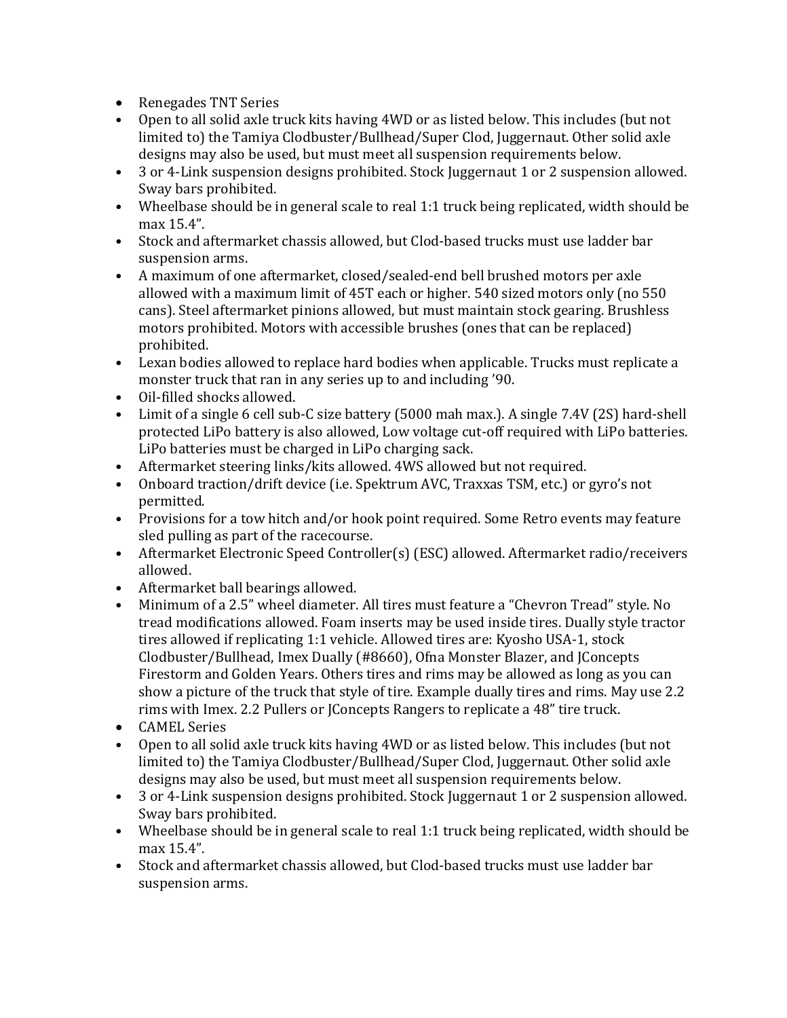- Renegades TNT Series
- Open to all solid axle truck kits having 4WD or as listed below. This includes (but not limited to) the Tamiya Clodbuster/Bullhead/Super Clod, Juggernaut. Other solid axle designs may also be used, but must meet all suspension requirements below.
- 3 or 4-Link suspension designs prohibited. Stock Juggernaut 1 or 2 suspension allowed. Sway bars prohibited.
- Wheelbase should be in general scale to real 1:1 truck being replicated, width should be max 15.4".
- Stock and aftermarket chassis allowed, but Clod-based trucks must use ladder bar suspension arms.
- A maximum of one aftermarket, closed/sealed-end bell brushed motors per axle allowed with a maximum limit of 45T each or higher. 540 sized motors only (no 550 cans). Steel aftermarket pinions allowed, but must maintain stock gearing. Brushless motors prohibited. Motors with accessible brushes (ones that can be replaced) prohibited.
- Lexan bodies allowed to replace hard bodies when applicable. Trucks must replicate a monster truck that ran in any series up to and including '90.
- Oil-filled shocks allowed.
- Limit of a single 6 cell sub-C size battery (5000 mah max.). A single 7.4V (2S) hard-shell protected LiPo battery is also allowed, Low voltage cut-off required with LiPo batteries. LiPo batteries must be charged in LiPo charging sack.
- Aftermarket steering links/kits allowed. 4WS allowed but not required.
- Onboard traction/drift device (i.e. Spektrum AVC, Traxxas TSM, etc.) or gyro's not permitted.
- Provisions for a tow hitch and/or hook point required. Some Retro events may feature sled pulling as part of the racecourse.
- Aftermarket Electronic Speed Controller(s) (ESC) allowed. Aftermarket radio/receivers allowed.
- Aftermarket ball bearings allowed.
- Minimum of a 2.5" wheel diameter. All tires must feature a "Chevron Tread" style. No tread modifications allowed. Foam inserts may be used inside tires. Dually style tractor tires allowed if replicating 1:1 vehicle. Allowed tires are: Kyosho USA-1, stock Clodbuster/Bullhead, Imex Dually (#8660), Ofna Monster Blazer, and JConcepts Firestorm and Golden Years. Others tires and rims may be allowed as long as you can show a picture of the truck that style of tire. Example dually tires and rims. May use 2.2 rims with Imex. 2.2 Pullers or JConcepts Rangers to replicate a 48" tire truck.
- CAMEL Series
- Open to all solid axle truck kits having 4WD or as listed below. This includes (but not limited to) the Tamiya Clodbuster/Bullhead/Super Clod, Juggernaut. Other solid axle designs may also be used, but must meet all suspension requirements below.
- 3 or 4-Link suspension designs prohibited. Stock Juggernaut 1 or 2 suspension allowed. Sway bars prohibited.
- Wheelbase should be in general scale to real 1:1 truck being replicated, width should be max 15.4".
- Stock and aftermarket chassis allowed, but Clod-based trucks must use ladder bar suspension arms.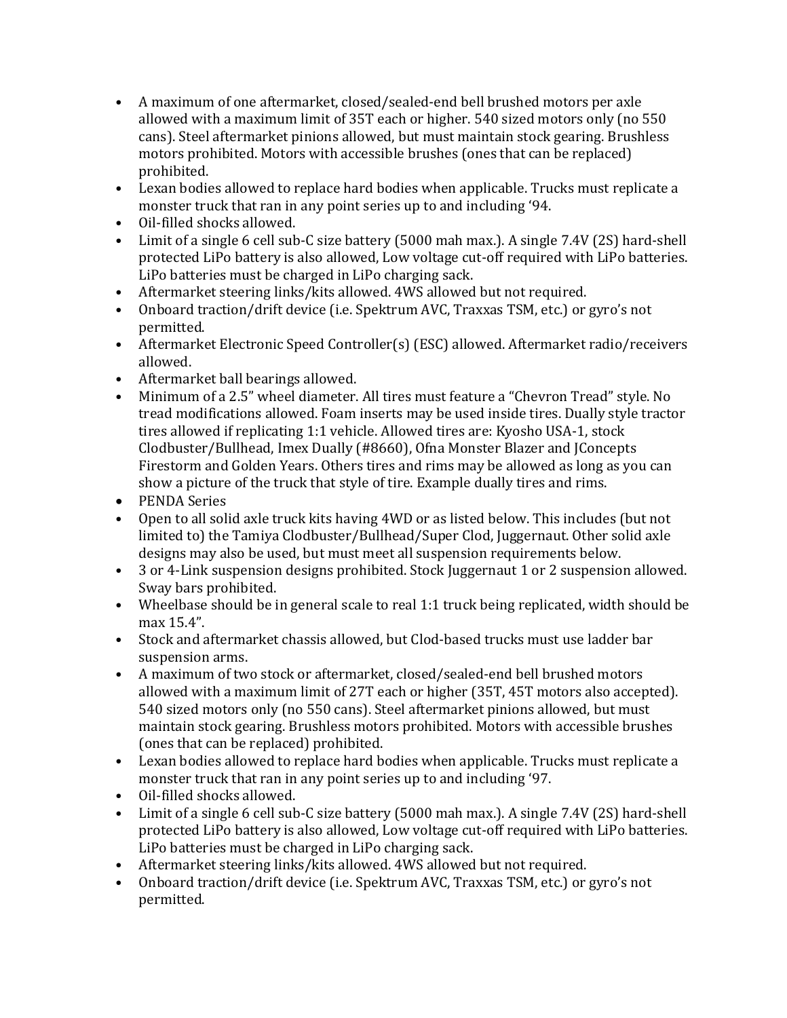- A maximum of one aftermarket, closed/sealed-end bell brushed motors per axle allowed with a maximum limit of 35T each or higher. 540 sized motors only (no 550 cans). Steel aftermarket pinions allowed, but must maintain stock gearing. Brushless motors prohibited. Motors with accessible brushes (ones that can be replaced) prohibited.
- Lexan bodies allowed to replace hard bodies when applicable. Trucks must replicate a monster truck that ran in any point series up to and including '94.
- Oil-filled shocks allowed.
- Limit of a single 6 cell sub-C size battery (5000 mah max.). A single 7.4V (2S) hard-shell protected LiPo battery is also allowed, Low voltage cut-off required with LiPo batteries. LiPo batteries must be charged in LiPo charging sack.
- Aftermarket steering links/kits allowed. 4WS allowed but not required.
- Onboard traction/drift device (i.e. Spektrum AVC, Traxxas TSM, etc.) or gyro's not permitted.
- Aftermarket Electronic Speed Controller(s) (ESC) allowed. Aftermarket radio/receivers allowed.
- Aftermarket ball bearings allowed.
- Minimum of a 2.5" wheel diameter. All tires must feature a "Chevron Tread" style. No tread modifications allowed. Foam inserts may be used inside tires. Dually style tractor tires allowed if replicating 1:1 vehicle. Allowed tires are: Kyosho USA-1, stock Clodbuster/Bullhead, Imex Dually (#8660), Ofna Monster Blazer and JConcepts Firestorm and Golden Years. Others tires and rims may be allowed as long as you can show a picture of the truck that style of tire. Example dually tires and rims.
- PENDA Series
- Open to all solid axle truck kits having 4WD or as listed below. This includes (but not limited to) the Tamiya Clodbuster/Bullhead/Super Clod, Juggernaut. Other solid axle designs may also be used, but must meet all suspension requirements below.
- 3 or 4-Link suspension designs prohibited. Stock Juggernaut 1 or 2 suspension allowed. Sway bars prohibited.
- Wheelbase should be in general scale to real 1:1 truck being replicated, width should be max 15.4".
- Stock and aftermarket chassis allowed, but Clod-based trucks must use ladder bar suspension arms.
- A maximum of two stock or aftermarket, closed/sealed-end bell brushed motors allowed with a maximum limit of 27T each or higher (35T, 45T motors also accepted). 540 sized motors only (no 550 cans). Steel aftermarket pinions allowed, but must maintain stock gearing. Brushless motors prohibited. Motors with accessible brushes (ones that can be replaced) prohibited.
- Lexan bodies allowed to replace hard bodies when applicable. Trucks must replicate a monster truck that ran in any point series up to and including '97.
- Oil-filled shocks allowed.
- Limit of a single 6 cell sub-C size battery (5000 mah max.). A single 7.4V (2S) hard-shell protected LiPo battery is also allowed, Low voltage cut-off required with LiPo batteries. LiPo batteries must be charged in LiPo charging sack.
- Aftermarket steering links/kits allowed. 4WS allowed but not required.
- Onboard traction/drift device (i.e. Spektrum AVC, Traxxas TSM, etc.) or gyro's not permitted.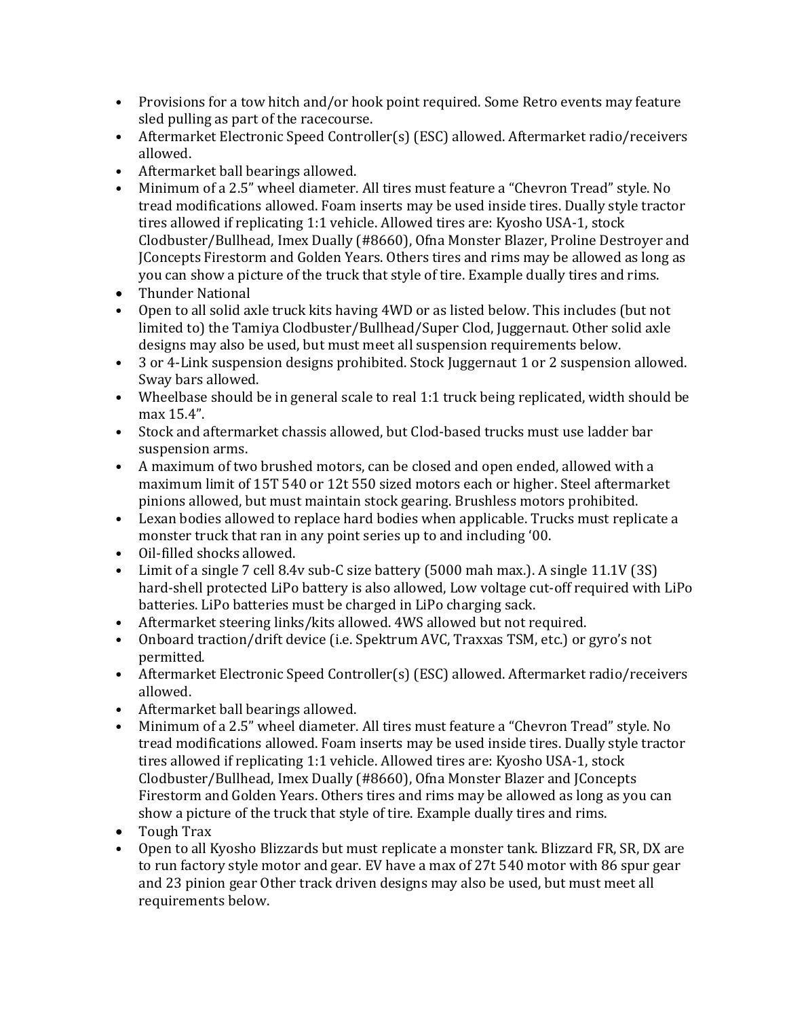- Provisions for a tow hitch and/or hook point required. Some Retro events may feature sled pulling as part of the racecourse.
- Aftermarket Electronic Speed Controller(s) (ESC) allowed. Aftermarket radio/receivers allowed.
- Aftermarket ball bearings allowed.
- Minimum of a 2.5" wheel diameter. All tires must feature a "Chevron Tread" style. No tread modifications allowed. Foam inserts may be used inside tires. Dually style tractor tires allowed if replicating 1:1 vehicle. Allowed tires are: Kyosho USA-1, stock Clodbuster/Bullhead, Imex Dually (#8660), Ofna Monster Blazer, Proline Destroyer and JConcepts Firestorm and Golden Years. Others tires and rims may be allowed as long as you can show a picture of the truck that style of tire. Example dually tires and rims.
- Thunder National
- Open to all solid axle truck kits having 4WD or as listed below. This includes (but not limited to) the Tamiya Clodbuster/Bullhead/Super Clod, Juggernaut. Other solid axle designs may also be used, but must meet all suspension requirements below.
- 3 or 4-Link suspension designs prohibited. Stock Juggernaut 1 or 2 suspension allowed. Sway bars allowed.
- Wheelbase should be in general scale to real 1:1 truck being replicated, width should be max 15.4".
- Stock and aftermarket chassis allowed, but Clod-based trucks must use ladder bar suspension arms.
- A maximum of two brushed motors, can be closed and open ended, allowed with a maximum limit of 15T 540 or 12t 550 sized motors each or higher. Steel aftermarket pinions allowed, but must maintain stock gearing. Brushless motors prohibited.
- Lexan bodies allowed to replace hard bodies when applicable. Trucks must replicate a monster truck that ran in any point series up to and including '00.
- Oil-filled shocks allowed.
- Limit of a single 7 cell 8.4v sub-C size battery (5000 mah max.). A single 11.1V (3S) hard-shell protected LiPo battery is also allowed, Low voltage cut-off required with LiPo batteries. LiPo batteries must be charged in LiPo charging sack.
- Aftermarket steering links/kits allowed. 4WS allowed but not required.
- Onboard traction/drift device (i.e. Spektrum AVC, Traxxas TSM, etc.) or gyro's not permitted.
- Aftermarket Electronic Speed Controller(s) (ESC) allowed. Aftermarket radio/receivers allowed.
- Aftermarket ball bearings allowed.
- Minimum of a 2.5" wheel diameter. All tires must feature a "Chevron Tread" style. No tread modifications allowed. Foam inserts may be used inside tires. Dually style tractor tires allowed if replicating 1:1 vehicle. Allowed tires are: Kyosho USA-1, stock Clodbuster/Bullhead, Imex Dually (#8660), Ofna Monster Blazer and JConcepts Firestorm and Golden Years. Others tires and rims may be allowed as long as you can show a picture of the truck that style of tire. Example dually tires and rims.
- Tough Trax
- Open to all Kyosho Blizzards but must replicate a monster tank. Blizzard FR, SR, DX are to run factory style motor and gear. EV have a max of 27t 540 motor with 86 spur gear and 23 pinion gear Other track driven designs may also be used, but must meet all requirements below.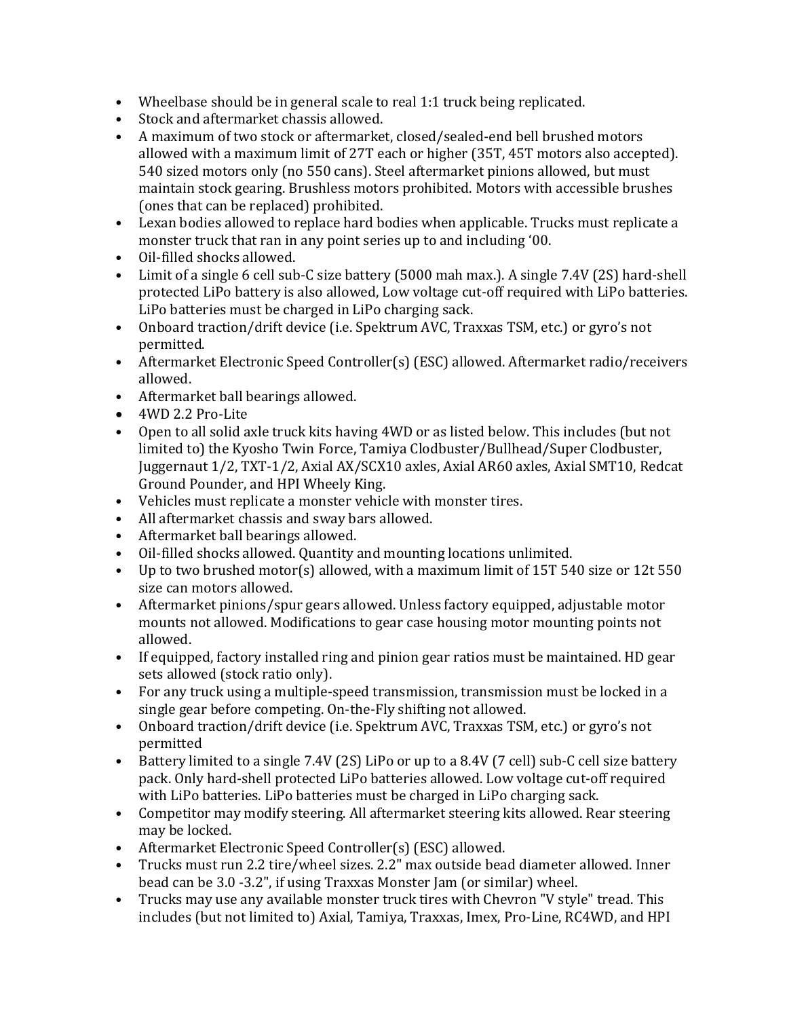- Wheelbase should be in general scale to real 1:1 truck being replicated.
- Stock and aftermarket chassis allowed.
- A maximum of two stock or aftermarket, closed/sealed-end bell brushed motors allowed with a maximum limit of 27T each or higher (35T, 45T motors also accepted). 540 sized motors only (no 550 cans). Steel aftermarket pinions allowed, but must maintain stock gearing. Brushless motors prohibited. Motors with accessible brushes (ones that can be replaced) prohibited.
- Lexan bodies allowed to replace hard bodies when applicable. Trucks must replicate a monster truck that ran in any point series up to and including '00.
- Oil-filled shocks allowed.
- Limit of a single 6 cell sub-C size battery (5000 mah max.). A single 7.4V (2S) hard-shell protected LiPo battery is also allowed, Low voltage cut-off required with LiPo batteries. LiPo batteries must be charged in LiPo charging sack.
- Onboard traction/drift device (i.e. Spektrum AVC, Traxxas TSM, etc.) or gyro's not permitted.
- Aftermarket Electronic Speed Controller(s) (ESC) allowed. Aftermarket radio/receivers allowed.
- Aftermarket ball bearings allowed.
- 4WD 2.2 Pro-Lite
- Open to all solid axle truck kits having 4WD or as listed below. This includes (but not limited to) the Kyosho Twin Force, Tamiya Clodbuster/Bullhead/Super Clodbuster, Juggernaut 1/2, TXT-1/2, Axial AX/SCX10 axles, Axial AR60 axles, Axial SMT10, Redcat Ground Pounder, and HPI Wheely King.
- Vehicles must replicate a monster vehicle with monster tires.
- All aftermarket chassis and sway bars allowed.
- Aftermarket ball bearings allowed.
- Oil-filled shocks allowed. Quantity and mounting locations unlimited.
- Up to two brushed motor(s) allowed, with a maximum limit of 15T 540 size or 12t 550 size can motors allowed.
- Aftermarket pinions/spur gears allowed. Unless factory equipped, adjustable motor mounts not allowed. Modifications to gear case housing motor mounting points not allowed.
- If equipped, factory installed ring and pinion gear ratios must be maintained. HD gear sets allowed (stock ratio only).
- For any truck using a multiple-speed transmission, transmission must be locked in a single gear before competing. On-the-Fly shifting not allowed.
- Onboard traction/drift device (i.e. Spektrum AVC, Traxxas TSM, etc.) or gyro's not permitted
- Battery limited to a single 7.4V (2S) LiPo or up to a 8.4V (7 cell) sub-C cell size battery pack. Only hard-shell protected LiPo batteries allowed. Low voltage cut-off required with LiPo batteries. LiPo batteries must be charged in LiPo charging sack.
- Competitor may modify steering. All aftermarket steering kits allowed. Rear steering may be locked.
- Aftermarket Electronic Speed Controller(s) (ESC) allowed.
- Trucks must run 2.2 tire/wheel sizes. 2.2" max outside bead diameter allowed. Inner bead can be 3.0 -3.2", if using Traxxas Monster Jam (or similar) wheel.
- Trucks may use any available monster truck tires with Chevron "V style" tread. This includes (but not limited to) Axial, Tamiya, Traxxas, Imex, Pro-Line, RC4WD, and HPI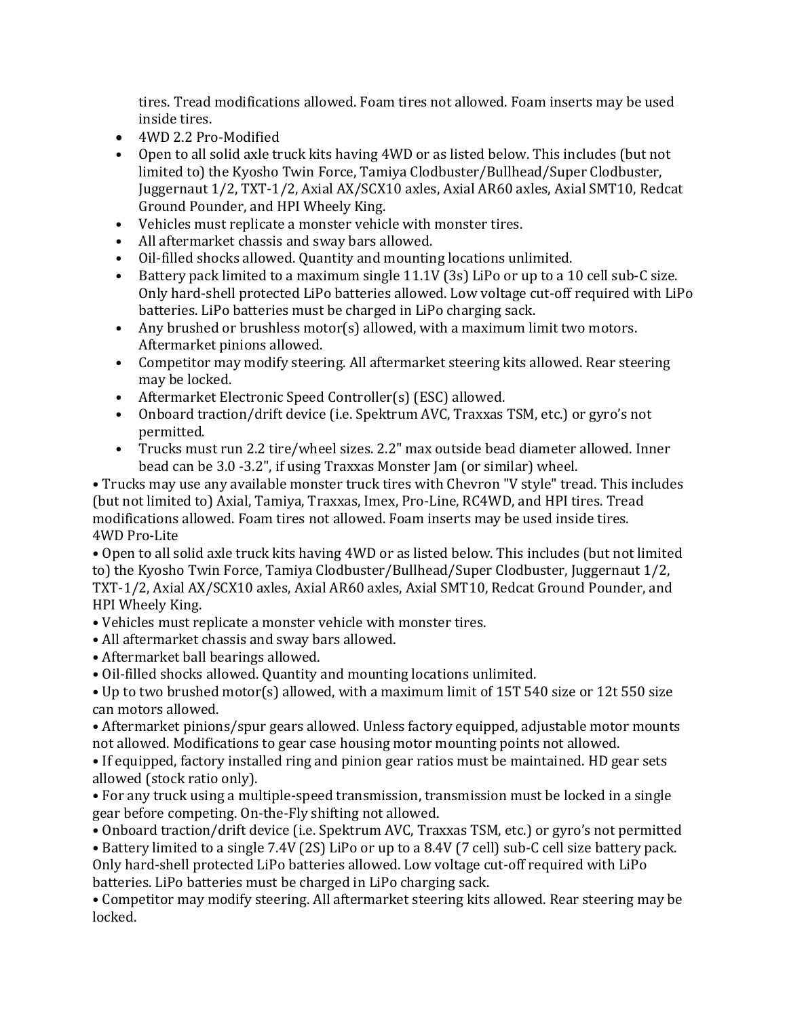tires. Tread modifications allowed. Foam tires not allowed. Foam inserts may be used inside tires.

- 4WD 2.2 Pro-Modified
- Open to all solid axle truck kits having 4WD or as listed below. This includes (but not limited to) the Kyosho Twin Force, Tamiya Clodbuster/Bullhead/Super Clodbuster, Juggernaut 1/2, TXT-1/2, Axial AX/SCX10 axles, Axial AR60 axles, Axial SMT10, Redcat Ground Pounder, and HPI Wheely King.
- Vehicles must replicate a monster vehicle with monster tires.
- All aftermarket chassis and sway bars allowed.
- Oil-filled shocks allowed. Quantity and mounting locations unlimited.
- Battery pack limited to a maximum single 11.1V (3s) LiPo or up to a 10 cell sub-C size. Only hard-shell protected LiPo batteries allowed. Low voltage cut-off required with LiPo batteries. LiPo batteries must be charged in LiPo charging sack.
- Any brushed or brushless motor(s) allowed, with a maximum limit two motors. Aftermarket pinions allowed.
- Competitor may modify steering. All aftermarket steering kits allowed. Rear steering may be locked.
- Aftermarket Electronic Speed Controller(s) (ESC) allowed.
- Onboard traction/drift device (i.e. Spektrum AVC, Traxxas TSM, etc.) or gyro's not permitted.
- Trucks must run 2.2 tire/wheel sizes. 2.2" max outside bead diameter allowed. Inner bead can be 3.0 -3.2", if using Traxxas Monster Jam (or similar) wheel.

• Trucks may use any available monster truck tires with Chevron "V style" tread. This includes (but not limited to) Axial, Tamiya, Traxxas, Imex, Pro-Line, RC4WD, and HPI tires. Tread modifications allowed. Foam tires not allowed. Foam inserts may be used inside tires. 4WD Pro-Lite

• Open to all solid axle truck kits having 4WD or as listed below. This includes (but not limited to) the Kyosho Twin Force, Tamiya Clodbuster/Bullhead/Super Clodbuster, Juggernaut 1/2, TXT-1/2, Axial AX/SCX10 axles, Axial AR60 axles, Axial SMT10, Redcat Ground Pounder, and HPI Wheely King.

- Vehicles must replicate a monster vehicle with monster tires.
- All aftermarket chassis and sway bars allowed.
- Aftermarket ball bearings allowed.
- Oil-filled shocks allowed. Quantity and mounting locations unlimited.

• Up to two brushed motor(s) allowed, with a maximum limit of 15T 540 size or 12t 550 size can motors allowed.

• Aftermarket pinions/spur gears allowed. Unless factory equipped, adjustable motor mounts not allowed. Modifications to gear case housing motor mounting points not allowed.

• If equipped, factory installed ring and pinion gear ratios must be maintained. HD gear sets allowed (stock ratio only).

• For any truck using a multiple-speed transmission, transmission must be locked in a single gear before competing. On-the-Fly shifting not allowed.

• Onboard traction/drift device (i.e. Spektrum AVC, Traxxas TSM, etc.) or gyro's not permitted • Battery limited to a single 7.4V (2S) LiPo or up to a 8.4V (7 cell) sub-C cell size battery pack. Only hard-shell protected LiPo batteries allowed. Low voltage cut-off required with LiPo batteries. LiPo batteries must be charged in LiPo charging sack.

• Competitor may modify steering. All aftermarket steering kits allowed. Rear steering may be locked.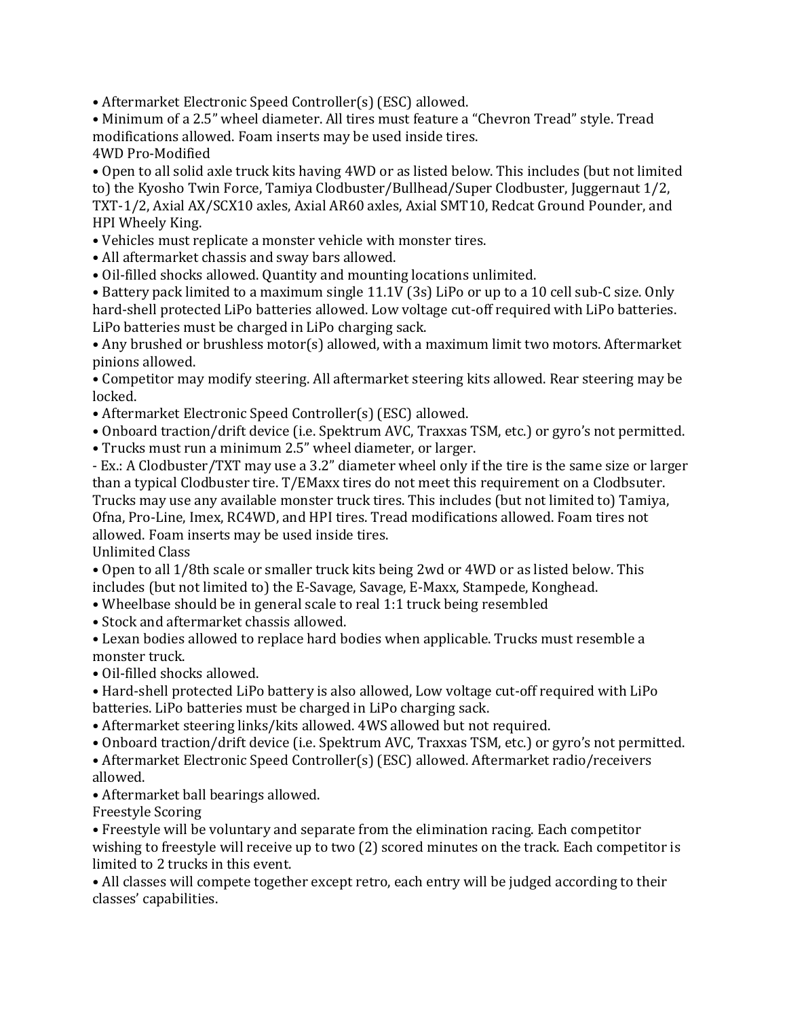• Aftermarket Electronic Speed Controller(s) (ESC) allowed.

• Minimum of a 2.5" wheel diameter. All tires must feature a "Chevron Tread" style. Tread modifications allowed. Foam inserts may be used inside tires.

4WD Pro-Modified

• Open to all solid axle truck kits having 4WD or as listed below. This includes (but not limited to) the Kyosho Twin Force, Tamiya Clodbuster/Bullhead/Super Clodbuster, Juggernaut 1/2, TXT-1/2, Axial AX/SCX10 axles, Axial AR60 axles, Axial SMT10, Redcat Ground Pounder, and HPI Wheely King.

- Vehicles must replicate a monster vehicle with monster tires.
- All aftermarket chassis and sway bars allowed.
- Oil-filled shocks allowed. Quantity and mounting locations unlimited.

• Battery pack limited to a maximum single 11.1V (3s) LiPo or up to a 10 cell sub-C size. Only hard-shell protected LiPo batteries allowed. Low voltage cut-off required with LiPo batteries. LiPo batteries must be charged in LiPo charging sack.

• Any brushed or brushless motor(s) allowed, with a maximum limit two motors. Aftermarket pinions allowed.

• Competitor may modify steering. All aftermarket steering kits allowed. Rear steering may be locked.

- Aftermarket Electronic Speed Controller(s) (ESC) allowed.
- Onboard traction/drift device (i.e. Spektrum AVC, Traxxas TSM, etc.) or gyro's not permitted.
- Trucks must run a minimum 2.5" wheel diameter, or larger.

- Ex.: A Clodbuster/TXT may use a 3.2" diameter wheel only if the tire is the same size or larger than a typical Clodbuster tire. T/EMaxx tires do not meet this requirement on a Clodbsuter. Trucks may use any available monster truck tires. This includes (but not limited to) Tamiya, Ofna, Pro-Line, Imex, RC4WD, and HPI tires. Tread modifications allowed. Foam tires not allowed. Foam inserts may be used inside tires.

Unlimited Class

• Open to all 1/8th scale or smaller truck kits being 2wd or 4WD or as listed below. This includes (but not limited to) the E-Savage, Savage, E-Maxx, Stampede, Konghead.

- Wheelbase should be in general scale to real 1:1 truck being resembled
- Stock and aftermarket chassis allowed.

• Lexan bodies allowed to replace hard bodies when applicable. Trucks must resemble a monster truck.

• Oil-filled shocks allowed.

• Hard-shell protected LiPo battery is also allowed, Low voltage cut-off required with LiPo batteries. LiPo batteries must be charged in LiPo charging sack.

- Aftermarket steering links/kits allowed. 4WS allowed but not required.
- Onboard traction/drift device (i.e. Spektrum AVC, Traxxas TSM, etc.) or gyro's not permitted.

• Aftermarket Electronic Speed Controller(s) (ESC) allowed. Aftermarket radio/receivers allowed.

• Aftermarket ball bearings allowed.

Freestyle Scoring

• Freestyle will be voluntary and separate from the elimination racing. Each competitor wishing to freestyle will receive up to two (2) scored minutes on the track. Each competitor is limited to 2 trucks in this event.

• All classes will compete together except retro, each entry will be judged according to their classes' capabilities.